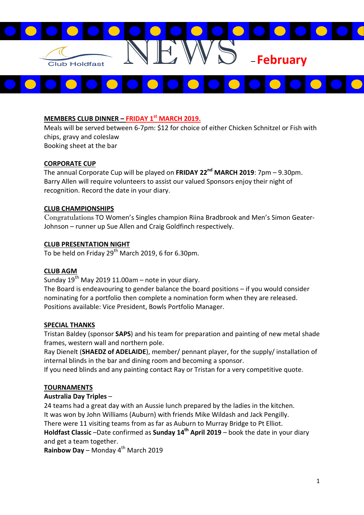

# MEMBERS CLUB DINNER – FRIDAY  $1<sup>st</sup>$  MARCH 2019.

Meals will be served between 6-7pm: \$12 for choice of either Chicken Schnitzel or Fish with chips, gravy and coleslaw Booking sheet at the bar

### CORPORATE CUP

The annual Corporate Cup will be played on FRIDAY 22<sup>nd</sup> MARCH 2019: 7pm – 9.30pm. Barry Allen will require volunteers to assist our valued Sponsors enjoy their night of recognition. Record the date in your diary.

### CLUB CHAMPIONSHIPS

Congratulations TO Women's Singles champion Riina Bradbrook and Men's Simon Geater-Johnson – runner up Sue Allen and Craig Goldfinch respectively.

# CLUB PRESENTATION NIGHT

To be held on Friday 29<sup>th</sup> March 2019, 6 for 6.30pm.

### CLUB AGM

Sunday  $19^{th}$  May 2019 11.00am – note in your diary.

The Board is endeavouring to gender balance the board positions – if you would consider nominating for a portfolio then complete a nomination form when they are released. Positions available: Vice President, Bowls Portfolio Manager.

### SPECIAL THANKS

Tristan Baldey (sponsor SAPS) and his team for preparation and painting of new metal shade frames, western wall and northern pole.

Ray Dienelt (SHAEDZ of ADELAIDE), member/ pennant player, for the supply/ installation of internal blinds in the bar and dining room and becoming a sponsor.

If you need blinds and any painting contact Ray or Tristan for a very competitive quote.

### TOURNAMENTS

### Australia Day Triples –

24 teams had a great day with an Aussie lunch prepared by the ladies in the kitchen. It was won by John Williams (Auburn) with friends Mike Wildash and Jack Pengilly. There were 11 visiting teams from as far as Auburn to Murray Bridge to Pt Elliot. Holdfast Classic –Date confirmed as Sunday  $14<sup>th</sup>$  April 2019 – book the date in your diary and get a team together.

**Rainbow Day** – Monday  $4^{th}$  March 2019